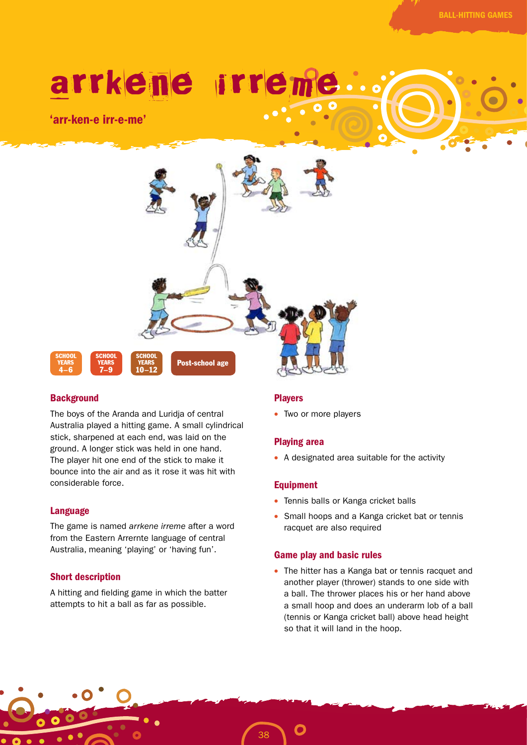# arrkene irre

'arr-ken-e irr-e-me'



## **Background**

The boys of the Aranda and Luridja of central Australia played a hitting game. A small cylindrical stick, sharpened at each end, was laid on the ground. A longer stick was held in one hand. The player hit one end of the stick to make it bounce into the air and as it rose it was hit with considerable force.

## Language

The game is named *arrkene irreme* after a word from the Eastern Arrernte language of central Australia, meaning 'playing' or 'having fun'.

## Short description

A hitting and fielding game in which the batter attempts to hit a ball as far as possible.

## Players

• Two or more players

## Playing area

• A designated area suitable for the activity

## Equipment

- Tennis balls or Kanga cricket balls
- Small hoops and a Kanga cricket bat or tennis racquet are also required

## Game play and basic rules

• The hitter has a Kanga bat or tennis racquet and another player (thrower) stands to one side with a ball. The thrower places his or her hand above a small hoop and does an underarm lob of a ball (tennis or Kanga cricket ball) above head height so that it will land in the hoop.

38

O